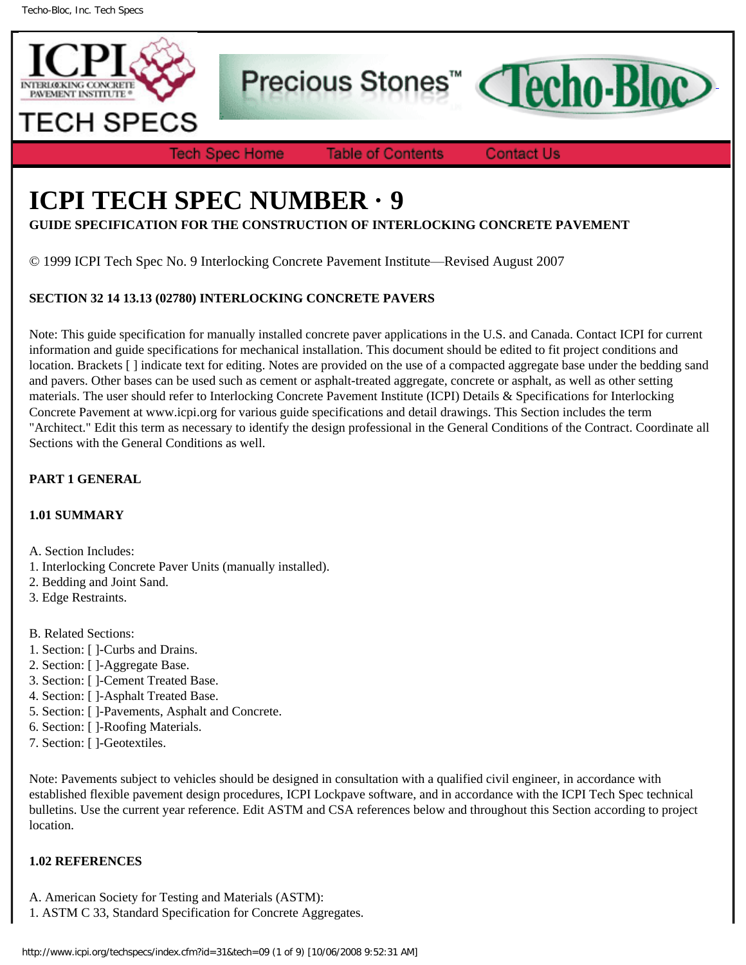

Precious Stones<sup>™</sup>



**Tech Spec Home** 

**Table of Contents** 

**Contact Us** 

# **ICPI TECH SPEC NUMBER · 9**

**GUIDE SPECIFICATION FOR THE CONSTRUCTION OF INTERLOCKING CONCRETE PAVEMENT**

© 1999 ICPI Tech Spec No. 9 Interlocking Concrete Pavement Institute—Revised August 2007

# **SECTION 32 14 13.13 (02780) INTERLOCKING CONCRETE PAVERS**

Note: This guide specification for manually installed concrete paver applications in the U.S. and Canada. Contact ICPI for current information and guide specifications for mechanical installation. This document should be edited to fit project conditions and location. Brackets [ ] indicate text for editing. Notes are provided on the use of a compacted aggregate base under the bedding sand and pavers. Other bases can be used such as cement or asphalt-treated aggregate, concrete or asphalt, as well as other setting materials. The user should refer to Interlocking Concrete Pavement Institute (ICPI) Details & Specifications for Interlocking Concrete Pavement at www.icpi.org for various guide specifications and detail drawings. This Section includes the term "Architect." Edit this term as necessary to identify the design professional in the General Conditions of the Contract. Coordinate all Sections with the General Conditions as well.

# **PART 1 GENERAL**

## **1.01 SUMMARY**

A. Section Includes:

- 1. Interlocking Concrete Paver Units (manually installed).
- 2. Bedding and Joint Sand.
- 3. Edge Restraints.
- B. Related Sections:
- 1. Section: [ ]-Curbs and Drains.
- 2. Section: [ ]-Aggregate Base.
- 3. Section: [ ]-Cement Treated Base.
- 4. Section: [ ]-Asphalt Treated Base.
- 5. Section: [ ]-Pavements, Asphalt and Concrete.
- 6. Section: [ ]-Roofing Materials.
- 7. Section: [ ]-Geotextiles.

Note: Pavements subject to vehicles should be designed in consultation with a qualified civil engineer, in accordance with established flexible pavement design procedures, ICPI Lockpave software, and in accordance with the ICPI Tech Spec technical bulletins. Use the current year reference. Edit ASTM and CSA references below and throughout this Section according to project location.

## **1.02 REFERENCES**

- A. American Society for Testing and Materials (ASTM):
- 1. ASTM C 33, Standard Specification for Concrete Aggregates.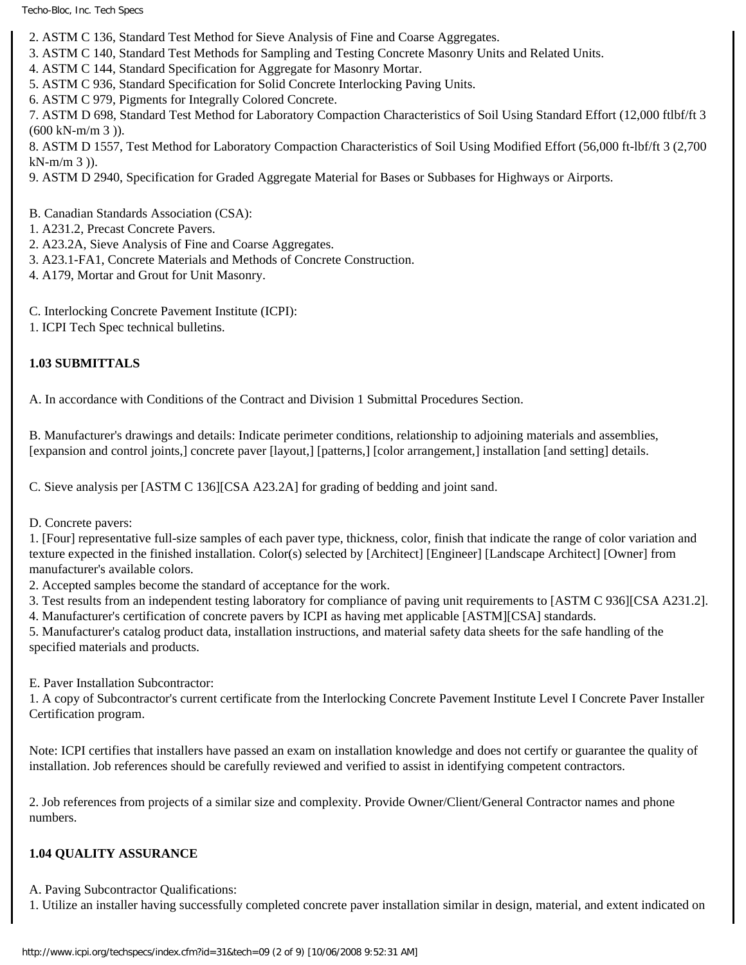- 2. ASTM C 136, Standard Test Method for Sieve Analysis of Fine and Coarse Aggregates.
- 3. ASTM C 140, Standard Test Methods for Sampling and Testing Concrete Masonry Units and Related Units.
- 4. ASTM C 144, Standard Specification for Aggregate for Masonry Mortar.
- 5. ASTM C 936, Standard Specification for Solid Concrete Interlocking Paving Units.
- 6. ASTM C 979, Pigments for Integrally Colored Concrete.

7. ASTM D 698, Standard Test Method for Laboratory Compaction Characteristics of Soil Using Standard Effort (12,000 ftlbf/ft 3  $(600 \text{ kN-m/m } 3)$ ).

8. ASTM D 1557, Test Method for Laboratory Compaction Characteristics of Soil Using Modified Effort (56,000 ft-lbf/ft 3 (2,700  $kN-m/m 3$ )).

9. ASTM D 2940, Specification for Graded Aggregate Material for Bases or Subbases for Highways or Airports.

B. Canadian Standards Association (CSA):

- 1. A231.2, Precast Concrete Pavers.
- 2. A23.2A, Sieve Analysis of Fine and Coarse Aggregates.
- 3. A23.1-FA1, Concrete Materials and Methods of Concrete Construction.
- 4. A179, Mortar and Grout for Unit Masonry.
- C. Interlocking Concrete Pavement Institute (ICPI):
- 1. ICPI Tech Spec technical bulletins.

# **1.03 SUBMITTALS**

A. In accordance with Conditions of the Contract and Division 1 Submittal Procedures Section.

B. Manufacturer's drawings and details: Indicate perimeter conditions, relationship to adjoining materials and assemblies, [expansion and control joints,] concrete paver [layout,] [patterns,] [color arrangement,] installation [and setting] details.

C. Sieve analysis per [ASTM C 136][CSA A23.2A] for grading of bedding and joint sand.

D. Concrete pavers:

1. [Four] representative full-size samples of each paver type, thickness, color, finish that indicate the range of color variation and texture expected in the finished installation. Color(s) selected by [Architect] [Engineer] [Landscape Architect] [Owner] from manufacturer's available colors.

2. Accepted samples become the standard of acceptance for the work.

3. Test results from an independent testing laboratory for compliance of paving unit requirements to [ASTM C 936][CSA A231.2].

4. Manufacturer's certification of concrete pavers by ICPI as having met applicable [ASTM][CSA] standards.

5. Manufacturer's catalog product data, installation instructions, and material safety data sheets for the safe handling of the specified materials and products.

E. Paver Installation Subcontractor:

1. A copy of Subcontractor's current certificate from the Interlocking Concrete Pavement Institute Level I Concrete Paver Installer Certification program.

Note: ICPI certifies that installers have passed an exam on installation knowledge and does not certify or guarantee the quality of installation. Job references should be carefully reviewed and verified to assist in identifying competent contractors.

2. Job references from projects of a similar size and complexity. Provide Owner/Client/General Contractor names and phone numbers.

## **1.04 QUALITY ASSURANCE**

A. Paving Subcontractor Qualifications:

1. Utilize an installer having successfully completed concrete paver installation similar in design, material, and extent indicated on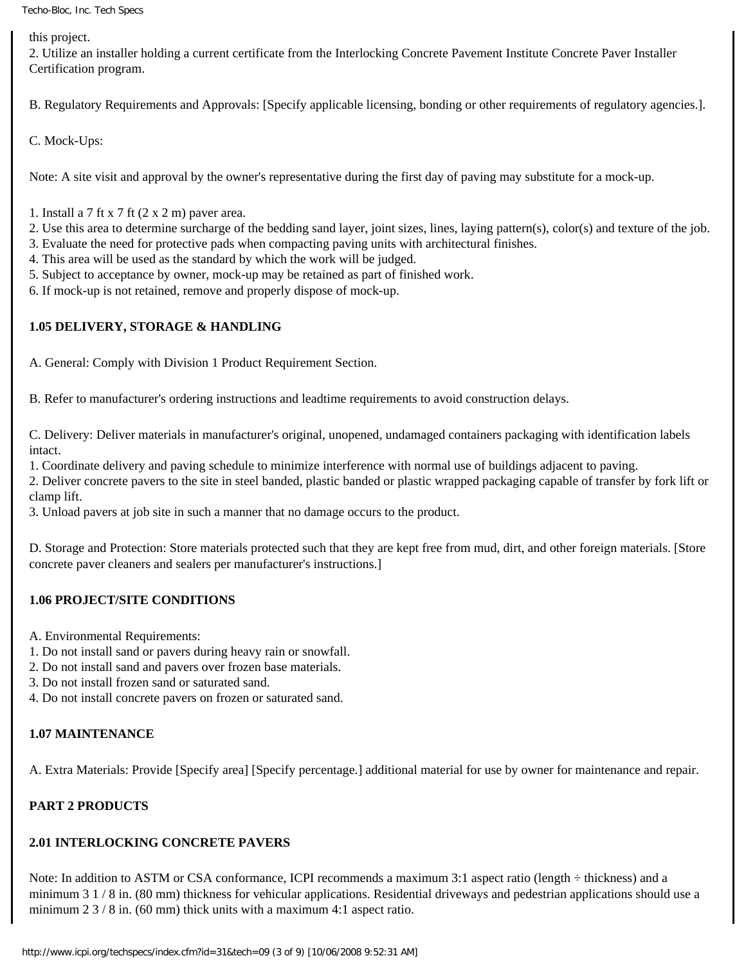this project.

2. Utilize an installer holding a current certificate from the Interlocking Concrete Pavement Institute Concrete Paver Installer Certification program.

B. Regulatory Requirements and Approvals: [Specify applicable licensing, bonding or other requirements of regulatory agencies.].

C. Mock-Ups:

Note: A site visit and approval by the owner's representative during the first day of paving may substitute for a mock-up.

- 1. Install a 7 ft x 7 ft  $(2 \times 2 \text{ m})$  paver area.
- 2. Use this area to determine surcharge of the bedding sand layer, joint sizes, lines, laying pattern(s), color(s) and texture of the job.
- 3. Evaluate the need for protective pads when compacting paving units with architectural finishes.
- 4. This area will be used as the standard by which the work will be judged.
- 5. Subject to acceptance by owner, mock-up may be retained as part of finished work.
- 6. If mock-up is not retained, remove and properly dispose of mock-up.

## **1.05 DELIVERY, STORAGE & HANDLING**

A. General: Comply with Division 1 Product Requirement Section.

B. Refer to manufacturer's ordering instructions and leadtime requirements to avoid construction delays.

C. Delivery: Deliver materials in manufacturer's original, unopened, undamaged containers packaging with identification labels intact.

1. Coordinate delivery and paving schedule to minimize interference with normal use of buildings adjacent to paving.

2. Deliver concrete pavers to the site in steel banded, plastic banded or plastic wrapped packaging capable of transfer by fork lift or clamp lift.

3. Unload pavers at job site in such a manner that no damage occurs to the product.

D. Storage and Protection: Store materials protected such that they are kept free from mud, dirt, and other foreign materials. [Store concrete paver cleaners and sealers per manufacturer's instructions.]

## **1.06 PROJECT/SITE CONDITIONS**

A. Environmental Requirements:

- 1. Do not install sand or pavers during heavy rain or snowfall.
- 2. Do not install sand and pavers over frozen base materials.
- 3. Do not install frozen sand or saturated sand.
- 4. Do not install concrete pavers on frozen or saturated sand.

## **1.07 MAINTENANCE**

A. Extra Materials: Provide [Specify area] [Specify percentage.] additional material for use by owner for maintenance and repair.

# **PART 2 PRODUCTS**

## **2.01 INTERLOCKING CONCRETE PAVERS**

Note: In addition to ASTM or CSA conformance, ICPI recommends a maximum 3:1 aspect ratio (length  $\div$  thickness) and a minimum 3 1 / 8 in. (80 mm) thickness for vehicular applications. Residential driveways and pedestrian applications should use a minimum  $2 \frac{3}{8}$  in. (60 mm) thick units with a maximum 4:1 aspect ratio.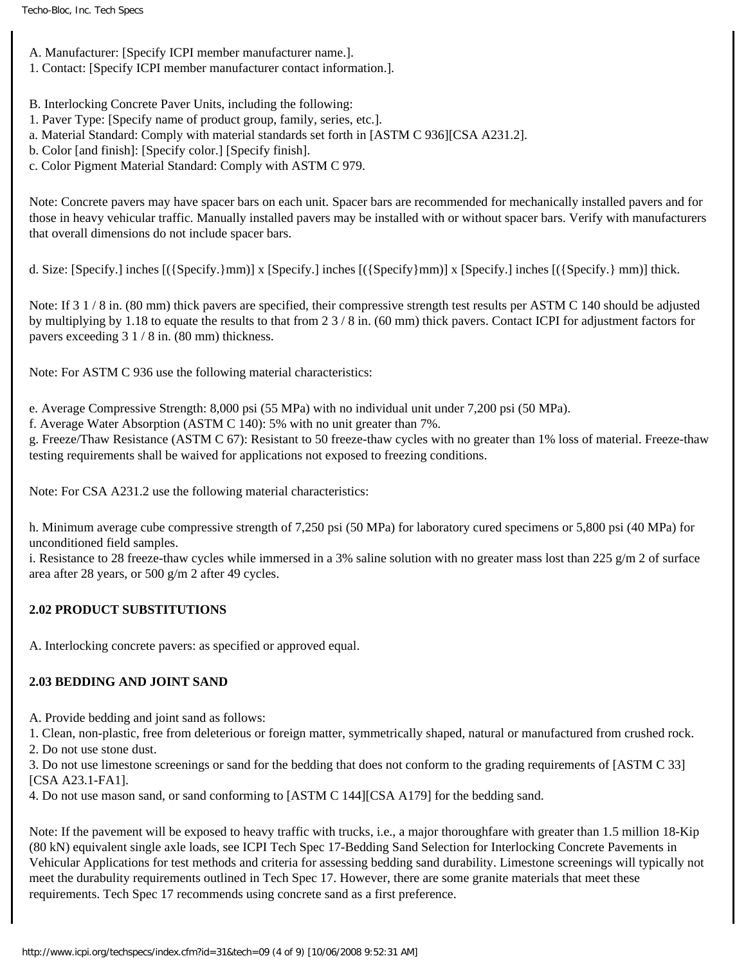- A. Manufacturer: [Specify ICPI member manufacturer name.].
- 1. Contact: [Specify ICPI member manufacturer contact information.].
- B. Interlocking Concrete Paver Units, including the following:
- 1. Paver Type: [Specify name of product group, family, series, etc.].
- a. Material Standard: Comply with material standards set forth in [ASTM C 936][CSA A231.2].
- b. Color [and finish]: [Specify color.] [Specify finish].
- c. Color Pigment Material Standard: Comply with ASTM C 979.

Note: Concrete pavers may have spacer bars on each unit. Spacer bars are recommended for mechanically installed pavers and for those in heavy vehicular traffic. Manually installed pavers may be installed with or without spacer bars. Verify with manufacturers that overall dimensions do not include spacer bars.

d. Size: [Specify.] inches [({Specify.}mm)] x [Specify.] inches [({Specify}mm)] x [Specify.] inches [({Specify.} mm)] thick.

Note: If 3 1/8 in. (80 mm) thick pavers are specified, their compressive strength test results per ASTM C 140 should be adjusted by multiplying by 1.18 to equate the results to that from 2 3 / 8 in. (60 mm) thick pavers. Contact ICPI for adjustment factors for pavers exceeding 3 1 / 8 in. (80 mm) thickness.

Note: For ASTM C 936 use the following material characteristics:

e. Average Compressive Strength: 8,000 psi (55 MPa) with no individual unit under 7,200 psi (50 MPa).

f. Average Water Absorption (ASTM C 140): 5% with no unit greater than 7%.

g. Freeze/Thaw Resistance (ASTM C 67): Resistant to 50 freeze-thaw cycles with no greater than 1% loss of material. Freeze-thaw testing requirements shall be waived for applications not exposed to freezing conditions.

Note: For CSA A231.2 use the following material characteristics:

h. Minimum average cube compressive strength of 7,250 psi (50 MPa) for laboratory cured specimens or 5,800 psi (40 MPa) for unconditioned field samples.

i. Resistance to 28 freeze-thaw cycles while immersed in a 3% saline solution with no greater mass lost than 225 g/m 2 of surface area after 28 years, or 500 g/m 2 after 49 cycles.

# **2.02 PRODUCT SUBSTITUTIONS**

A. Interlocking concrete pavers: as specified or approved equal.

## **2.03 BEDDING AND JOINT SAND**

A. Provide bedding and joint sand as follows:

1. Clean, non-plastic, free from deleterious or foreign matter, symmetrically shaped, natural or manufactured from crushed rock.

2. Do not use stone dust.

3. Do not use limestone screenings or sand for the bedding that does not conform to the grading requirements of [ASTM C 33] [CSA A23.1-FA1].

4. Do not use mason sand, or sand conforming to [ASTM C 144][CSA A179] for the bedding sand.

Note: If the pavement will be exposed to heavy traffic with trucks, i.e., a major thoroughfare with greater than 1.5 million 18-Kip (80 kN) equivalent single axle loads, see ICPI Tech Spec 17-Bedding Sand Selection for Interlocking Concrete Pavements in Vehicular Applications for test methods and criteria for assessing bedding sand durability. Limestone screenings will typically not meet the durabulity requirements outlined in Tech Spec 17. However, there are some granite materials that meet these requirements. Tech Spec 17 recommends using concrete sand as a first preference.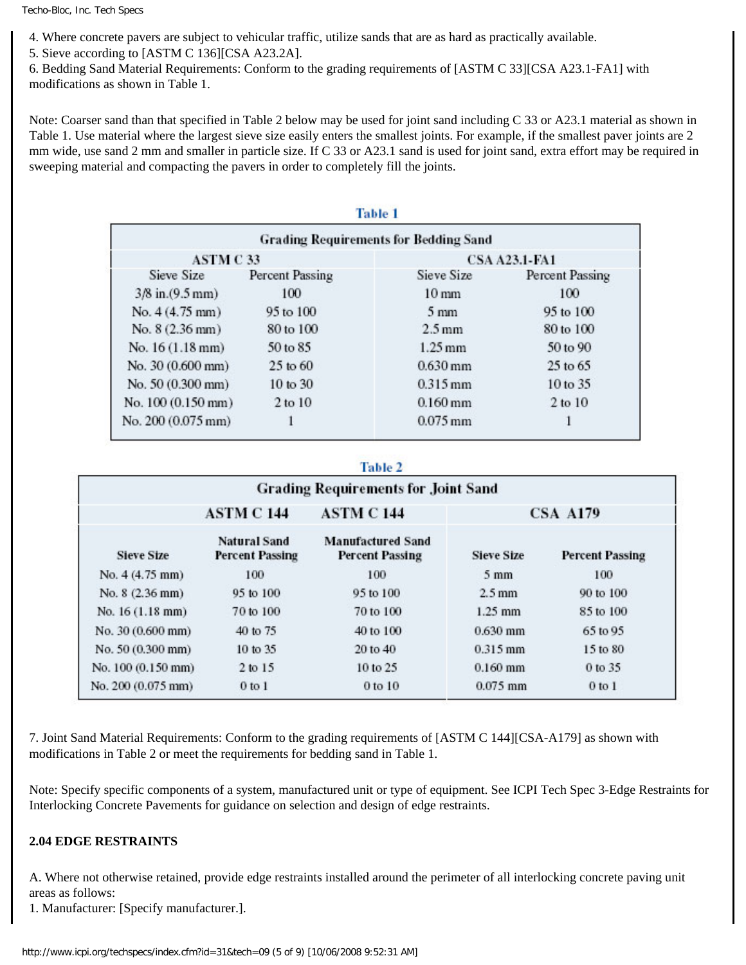4. Where concrete pavers are subject to vehicular traffic, utilize sands that are as hard as practically available.

5. Sieve according to [ASTM C 136][CSA A23.2A].

6. Bedding Sand Material Requirements: Conform to the grading requirements of [ASTM C 33][CSA A23.1-FA1] with modifications as shown in Table 1.

Note: Coarser sand than that specified in Table 2 below may be used for joint sand including C 33 or A23.1 material as shown in Table 1. Use material where the largest sieve size easily enters the smallest joints. For example, if the smallest paver joints are 2 mm wide, use sand 2 mm and smaller in particle size. If C 33 or A23.1 sand is used for joint sand, extra effort may be required in sweeping material and compacting the pavers in order to completely fill the joints.

mark of the

| <b>Grading Requirements for Bedding Sand</b> |                     |                      |                 |  |  |  |
|----------------------------------------------|---------------------|----------------------|-----------------|--|--|--|
| <b>ASTM C33</b>                              |                     | <b>CSA A23.1-FA1</b> |                 |  |  |  |
| Sieve Size                                   | Percent Passing     | Sieve Size           | Percent Passing |  |  |  |
| $3/8$ in. $(9.5$ mm)                         | 100                 | $10 \text{ mm}$      | 100             |  |  |  |
| No. 4 (4.75 mm)                              | 95 to 100           | $5 \text{ mm}$       | 95 to 100       |  |  |  |
| No. 8 (2.36 mm)                              | 80 to 100           | $2.5 \text{ mm}$     | 80 to 100       |  |  |  |
| No. $16(1.18 \text{ mm})$                    | 50 to 85            | $1.25$ mm            | 50 to 90        |  |  |  |
| No. 30 (0.600 mm)                            | $25$ to $60$        | $0.630$ mm           | $25$ to $65$    |  |  |  |
| No. 50 (0.300 mm)                            | $10 \text{ to } 30$ | $0.315$ mm           | 10 to 35        |  |  |  |
| No. 100 (0.150 mm)                           | 2 to 10             | $0.160$ mm           | $2$ to $10$     |  |  |  |
| No. 200 (0.075 mm)                           |                     | $0.075$ mm           |                 |  |  |  |

#### Table 2

| <b>Grading Requirements for Joint Sand</b> |                                               |                                                    |                   |                        |  |  |
|--------------------------------------------|-----------------------------------------------|----------------------------------------------------|-------------------|------------------------|--|--|
|                                            | <b>ASTM C 144</b>                             | <b>ASTM C144</b>                                   | <b>CSA A179</b>   |                        |  |  |
| <b>Sieve Size</b>                          | <b>Natural Sand</b><br><b>Percent Passing</b> | <b>Manufactured Sand</b><br><b>Percent Passing</b> | <b>Sieve Size</b> | <b>Percent Passing</b> |  |  |
| No. 4 (4.75 mm)                            | 100                                           | 100                                                | $5 \text{ mm}$    | 100                    |  |  |
| No. $8(2.36$ mm)                           | 95 to 100                                     | 95 to 100                                          | $2.5$ mm          | 90 to 100              |  |  |
| No. 16 (1.18 mm)                           | 70 to 100                                     | 70 to 100                                          | $1.25$ mm         | 85 to 100              |  |  |
| No. 30 (0.600 mm)                          | 40 to 75                                      | 40 to 100                                          | $0.630$ mm        | 65 to 95               |  |  |
| No. 50 (0.300 mm)                          | 10 to 35                                      | 20 to 40                                           | $0.315$ mm        | 15 to 80               |  |  |
| No. 100 (0.150 mm)                         | 2 to 15                                       | 10 to 25                                           | $0.160$ mm        | 0 to 35                |  |  |
| No. 200 (0.075 mm)                         | $0$ to $1$                                    | 0 to 10                                            | $0.075$ mm        | $0$ to $1$             |  |  |

7. Joint Sand Material Requirements: Conform to the grading requirements of [ASTM C 144][CSA-A179] as shown with modifications in Table 2 or meet the requirements for bedding sand in Table 1.

Note: Specify specific components of a system, manufactured unit or type of equipment. See ICPI Tech Spec 3-Edge Restraints for Interlocking Concrete Pavements for guidance on selection and design of edge restraints.

#### **2.04 EDGE RESTRAINTS**

A. Where not otherwise retained, provide edge restraints installed around the perimeter of all interlocking concrete paving unit areas as follows:

1. Manufacturer: [Specify manufacturer.].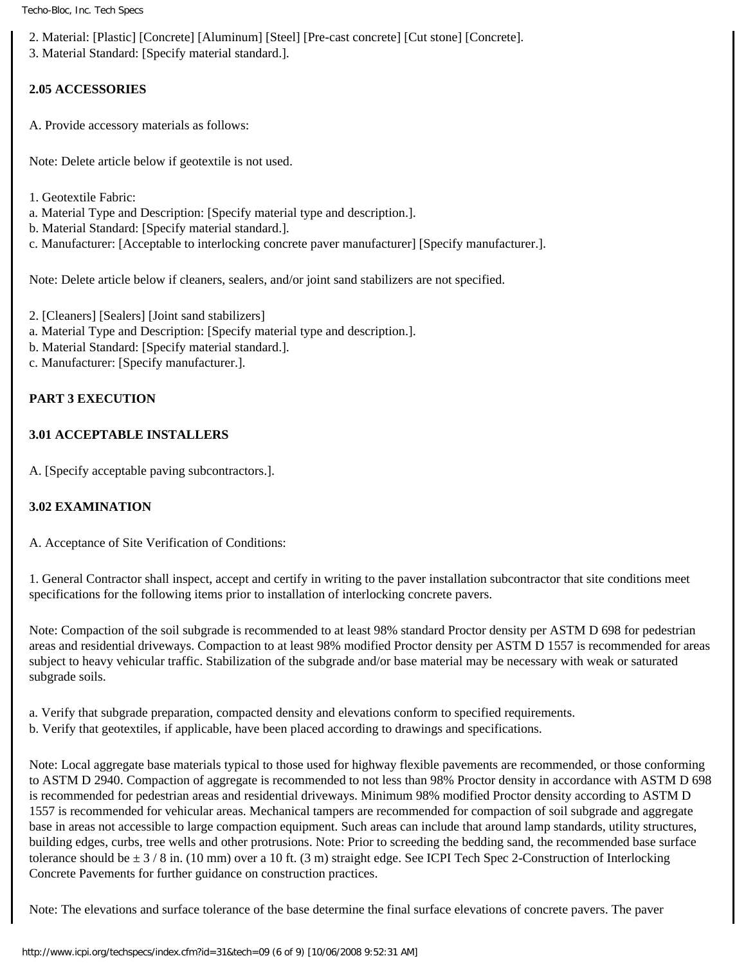- 2. Material: [Plastic] [Concrete] [Aluminum] [Steel] [Pre-cast concrete] [Cut stone] [Concrete].
- 3. Material Standard: [Specify material standard.].

# **2.05 ACCESSORIES**

A. Provide accessory materials as follows:

Note: Delete article below if geotextile is not used.

- 1. Geotextile Fabric:
- a. Material Type and Description: [Specify material type and description.].
- b. Material Standard: [Specify material standard.].
- c. Manufacturer: [Acceptable to interlocking concrete paver manufacturer] [Specify manufacturer.].

Note: Delete article below if cleaners, sealers, and/or joint sand stabilizers are not specified.

- 2. [Cleaners] [Sealers] [Joint sand stabilizers]
- a. Material Type and Description: [Specify material type and description.].
- b. Material Standard: [Specify material standard.].
- c. Manufacturer: [Specify manufacturer.].

# **PART 3 EXECUTION**

#### **3.01 ACCEPTABLE INSTALLERS**

A. [Specify acceptable paving subcontractors.].

## **3.02 EXAMINATION**

A. Acceptance of Site Verification of Conditions:

1. General Contractor shall inspect, accept and certify in writing to the paver installation subcontractor that site conditions meet specifications for the following items prior to installation of interlocking concrete pavers.

Note: Compaction of the soil subgrade is recommended to at least 98% standard Proctor density per ASTM D 698 for pedestrian areas and residential driveways. Compaction to at least 98% modified Proctor density per ASTM D 1557 is recommended for areas subject to heavy vehicular traffic. Stabilization of the subgrade and/or base material may be necessary with weak or saturated subgrade soils.

a. Verify that subgrade preparation, compacted density and elevations conform to specified requirements.

b. Verify that geotextiles, if applicable, have been placed according to drawings and specifications.

Note: Local aggregate base materials typical to those used for highway flexible pavements are recommended, or those conforming to ASTM D 2940. Compaction of aggregate is recommended to not less than 98% Proctor density in accordance with ASTM D 698 is recommended for pedestrian areas and residential driveways. Minimum 98% modified Proctor density according to ASTM D 1557 is recommended for vehicular areas. Mechanical tampers are recommended for compaction of soil subgrade and aggregate base in areas not accessible to large compaction equipment. Such areas can include that around lamp standards, utility structures, building edges, curbs, tree wells and other protrusions. Note: Prior to screeding the bedding sand, the recommended base surface tolerance should be  $\pm$  3 / 8 in. (10 mm) over a 10 ft. (3 m) straight edge. See ICPI Tech Spec 2-Construction of Interlocking Concrete Pavements for further guidance on construction practices.

Note: The elevations and surface tolerance of the base determine the final surface elevations of concrete pavers. The paver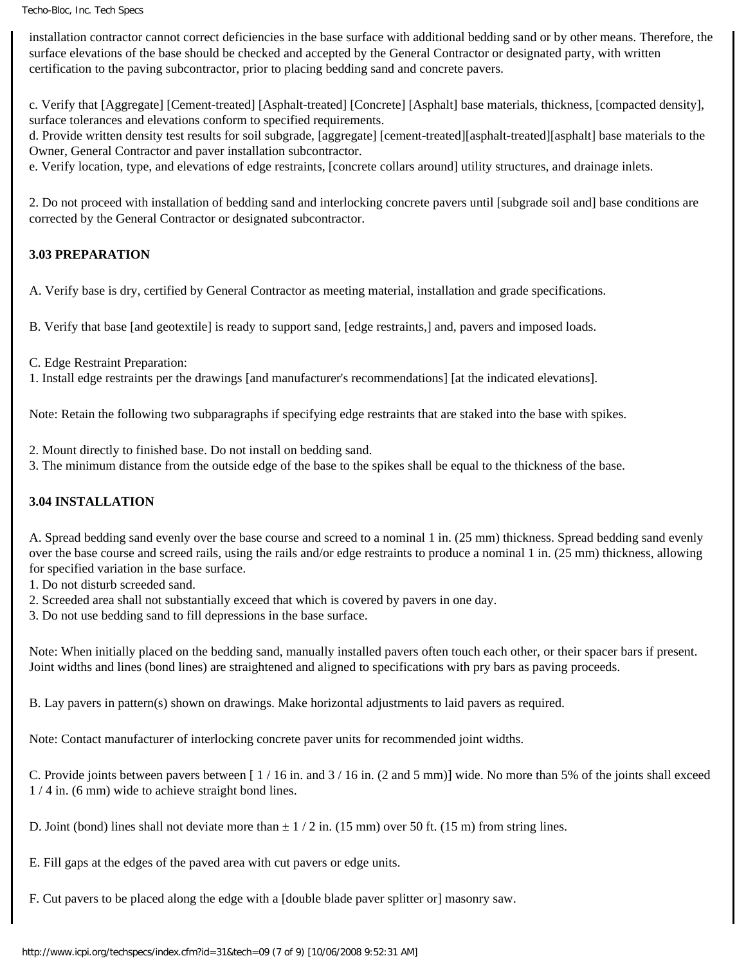installation contractor cannot correct deficiencies in the base surface with additional bedding sand or by other means. Therefore, the surface elevations of the base should be checked and accepted by the General Contractor or designated party, with written certification to the paving subcontractor, prior to placing bedding sand and concrete pavers.

c. Verify that [Aggregate] [Cement-treated] [Asphalt-treated] [Concrete] [Asphalt] base materials, thickness, [compacted density], surface tolerances and elevations conform to specified requirements.

d. Provide written density test results for soil subgrade, [aggregate] [cement-treated][asphalt-treated][asphalt] base materials to the Owner, General Contractor and paver installation subcontractor.

e. Verify location, type, and elevations of edge restraints, [concrete collars around] utility structures, and drainage inlets.

2. Do not proceed with installation of bedding sand and interlocking concrete pavers until [subgrade soil and] base conditions are corrected by the General Contractor or designated subcontractor.

# **3.03 PREPARATION**

A. Verify base is dry, certified by General Contractor as meeting material, installation and grade specifications.

B. Verify that base [and geotextile] is ready to support sand, [edge restraints,] and, pavers and imposed loads.

C. Edge Restraint Preparation:

1. Install edge restraints per the drawings [and manufacturer's recommendations] [at the indicated elevations].

Note: Retain the following two subparagraphs if specifying edge restraints that are staked into the base with spikes.

2. Mount directly to finished base. Do not install on bedding sand.

3. The minimum distance from the outside edge of the base to the spikes shall be equal to the thickness of the base.

## **3.04 INSTALLATION**

A. Spread bedding sand evenly over the base course and screed to a nominal 1 in. (25 mm) thickness. Spread bedding sand evenly over the base course and screed rails, using the rails and/or edge restraints to produce a nominal 1 in. (25 mm) thickness, allowing for specified variation in the base surface.

- 1. Do not disturb screeded sand.
- 2. Screeded area shall not substantially exceed that which is covered by pavers in one day.

3. Do not use bedding sand to fill depressions in the base surface.

Note: When initially placed on the bedding sand, manually installed pavers often touch each other, or their spacer bars if present. Joint widths and lines (bond lines) are straightened and aligned to specifications with pry bars as paving proceeds.

B. Lay pavers in pattern(s) shown on drawings. Make horizontal adjustments to laid pavers as required.

Note: Contact manufacturer of interlocking concrete paver units for recommended joint widths.

C. Provide joints between pavers between  $\left[ 1/16 \text{ in.} \text{ and } 3/16 \text{ in.} \text{ (2 and 5 mm)} \right]$  wide. No more than 5% of the joints shall exceed 1 / 4 in. (6 mm) wide to achieve straight bond lines.

D. Joint (bond) lines shall not deviate more than  $\pm 1/2$  in. (15 mm) over 50 ft. (15 m) from string lines.

E. Fill gaps at the edges of the paved area with cut pavers or edge units.

F. Cut pavers to be placed along the edge with a [double blade paver splitter or] masonry saw.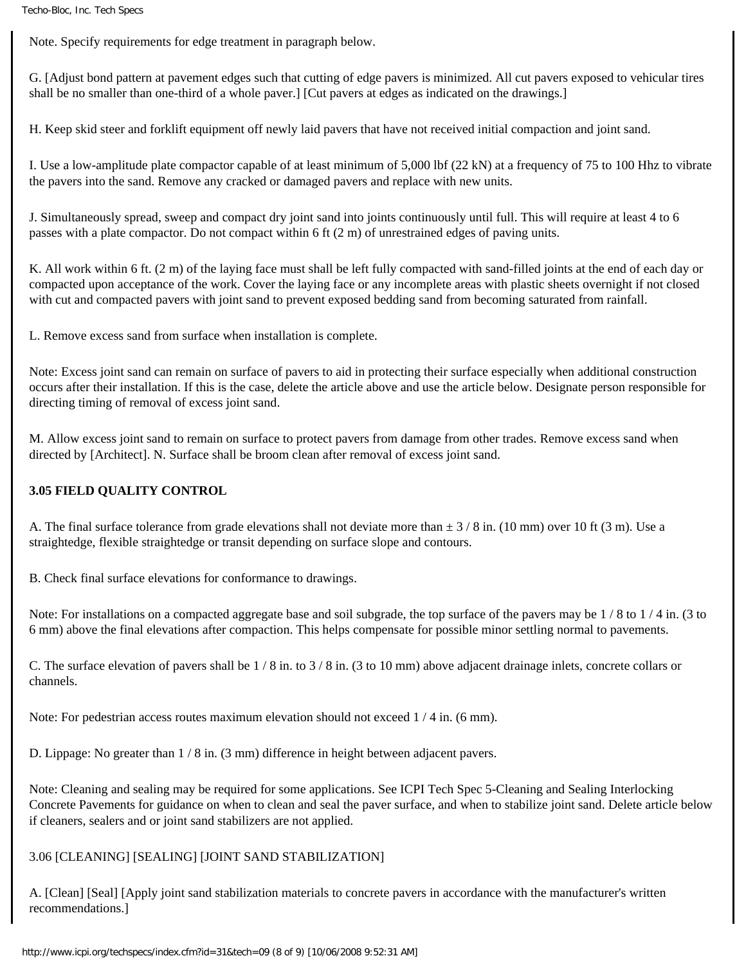Note. Specify requirements for edge treatment in paragraph below.

G. [Adjust bond pattern at pavement edges such that cutting of edge pavers is minimized. All cut pavers exposed to vehicular tires shall be no smaller than one-third of a whole paver.] [Cut pavers at edges as indicated on the drawings.]

H. Keep skid steer and forklift equipment off newly laid pavers that have not received initial compaction and joint sand.

I. Use a low-amplitude plate compactor capable of at least minimum of 5,000 lbf (22 kN) at a frequency of 75 to 100 Hhz to vibrate the pavers into the sand. Remove any cracked or damaged pavers and replace with new units.

J. Simultaneously spread, sweep and compact dry joint sand into joints continuously until full. This will require at least 4 to 6 passes with a plate compactor. Do not compact within 6 ft (2 m) of unrestrained edges of paving units.

K. All work within 6 ft. (2 m) of the laying face must shall be left fully compacted with sand-filled joints at the end of each day or compacted upon acceptance of the work. Cover the laying face or any incomplete areas with plastic sheets overnight if not closed with cut and compacted pavers with joint sand to prevent exposed bedding sand from becoming saturated from rainfall.

L. Remove excess sand from surface when installation is complete.

Note: Excess joint sand can remain on surface of pavers to aid in protecting their surface especially when additional construction occurs after their installation. If this is the case, delete the article above and use the article below. Designate person responsible for directing timing of removal of excess joint sand.

M. Allow excess joint sand to remain on surface to protect pavers from damage from other trades. Remove excess sand when directed by [Architect]. N. Surface shall be broom clean after removal of excess joint sand.

#### **3.05 FIELD QUALITY CONTROL**

A. The final surface tolerance from grade elevations shall not deviate more than  $\pm$  3/8 in. (10 mm) over 10 ft (3 m). Use a straightedge, flexible straightedge or transit depending on surface slope and contours.

B. Check final surface elevations for conformance to drawings.

Note: For installations on a compacted aggregate base and soil subgrade, the top surface of the pavers may be 1 / 8 to 1 / 4 in. (3 to 6 mm) above the final elevations after compaction. This helps compensate for possible minor settling normal to pavements.

C. The surface elevation of pavers shall be 1 / 8 in. to 3 / 8 in. (3 to 10 mm) above adjacent drainage inlets, concrete collars or channels.

Note: For pedestrian access routes maximum elevation should not exceed 1 / 4 in. (6 mm).

D. Lippage: No greater than 1 / 8 in. (3 mm) difference in height between adjacent pavers.

Note: Cleaning and sealing may be required for some applications. See ICPI Tech Spec 5-Cleaning and Sealing Interlocking Concrete Pavements for guidance on when to clean and seal the paver surface, and when to stabilize joint sand. Delete article below if cleaners, sealers and or joint sand stabilizers are not applied.

#### 3.06 [CLEANING] [SEALING] [JOINT SAND STABILIZATION]

A. [Clean] [Seal] [Apply joint sand stabilization materials to concrete pavers in accordance with the manufacturer's written recommendations.]